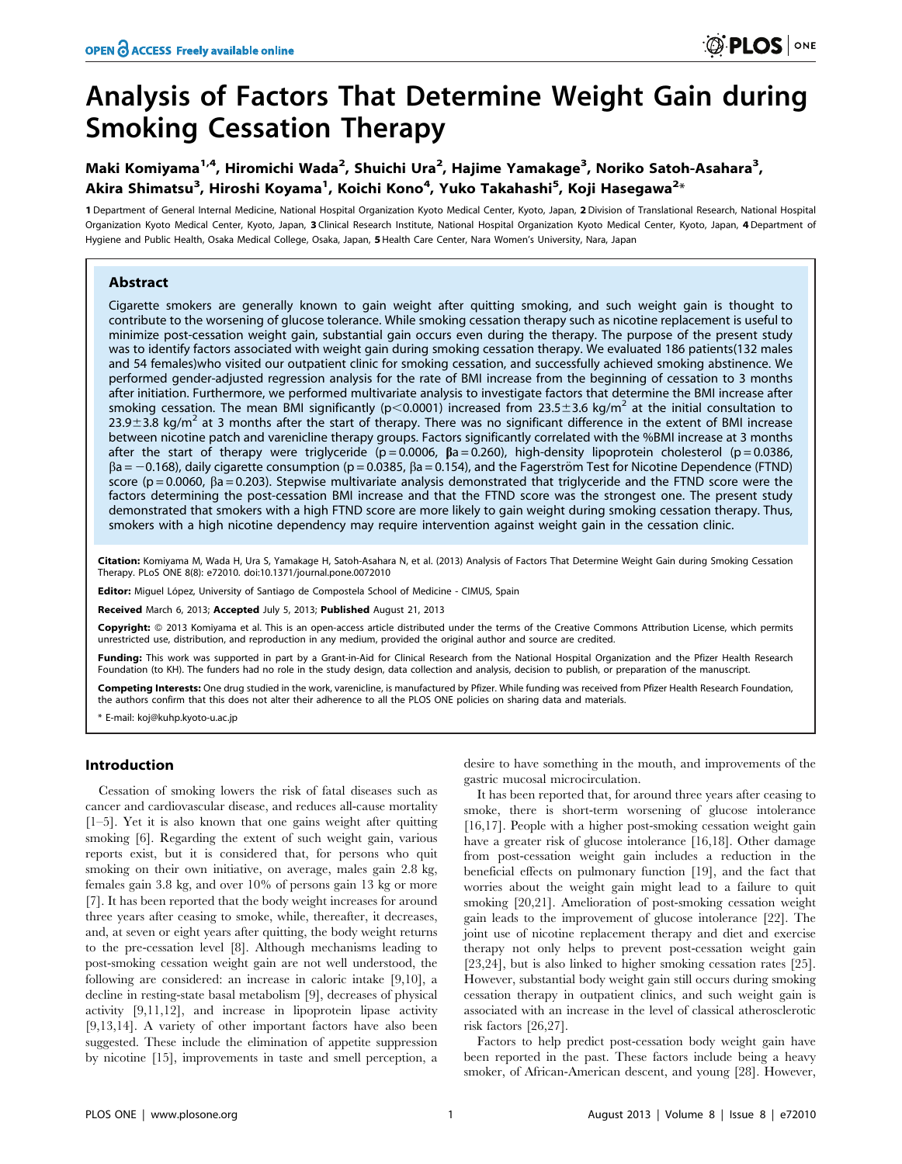# Analysis of Factors That Determine Weight Gain during Smoking Cessation Therapy

## Maki Komiyama<sup>1,4</sup>, Hiromichi Wada<sup>2</sup>, Shuichi Ura<sup>2</sup>, Hajime Yamakage<sup>3</sup>, Noriko Satoh-Asahara<sup>3</sup>, Akira Shimatsu<sup>3</sup>, Hiroshi Koyama<sup>1</sup>, Koichi Kono<sup>4</sup>, Yuko Takahashi<sup>5</sup>, Koji Hasegawa<sup>2</sup>\*

1 Department of General Internal Medicine, National Hospital Organization Kyoto Medical Center, Kyoto, Japan, 2 Division of Translational Research, National Hospital Organization Kyoto Medical Center, Kyoto, Japan, 3 Clinical Research Institute, National Hospital Organization Kyoto Medical Center, Kyoto, Japan, 4 Department of Hygiene and Public Health, Osaka Medical College, Osaka, Japan, 5 Health Care Center, Nara Women's University, Nara, Japan

## Abstract

Cigarette smokers are generally known to gain weight after quitting smoking, and such weight gain is thought to contribute to the worsening of glucose tolerance. While smoking cessation therapy such as nicotine replacement is useful to minimize post-cessation weight gain, substantial gain occurs even during the therapy. The purpose of the present study was to identify factors associated with weight gain during smoking cessation therapy. We evaluated 186 patients(132 males and 54 females)who visited our outpatient clinic for smoking cessation, and successfully achieved smoking abstinence. We performed gender-adjusted regression analysis for the rate of BMI increase from the beginning of cessation to 3 months after initiation. Furthermore, we performed multivariate analysis to investigate factors that determine the BMI increase after smoking cessation. The mean BMI significantly ( $p$ <0.0001) increased from 23.5±3.6 kg/m<sup>2</sup> at the initial consultation to 23.9 $\pm$ 3.8 kg/m<sup>2</sup> at 3 months after the start of therapy. There was no significant difference in the extent of BMI increase between nicotine patch and varenicline therapy groups. Factors significantly correlated with the %BMI increase at 3 months after the start of therapy were triglyceride (p = 0.0006,  $\beta$ a = 0.260), high-density lipoprotein cholesterol (p = 0.0386,  $\beta$ a = -0.168), daily cigarette consumption (p = 0.0385,  $\beta$ a = 0.154), and the Fagerström Test for Nicotine Dependence (FTND) score ( $p = 0.0060$ ,  $\beta a = 0.203$ ). Stepwise multivariate analysis demonstrated that triglyceride and the FTND score were the factors determining the post-cessation BMI increase and that the FTND score was the strongest one. The present study demonstrated that smokers with a high FTND score are more likely to gain weight during smoking cessation therapy. Thus, smokers with a high nicotine dependency may require intervention against weight gain in the cessation clinic.

Citation: Komiyama M, Wada H, Ura S, Yamakage H, Satoh-Asahara N, et al. (2013) Analysis of Factors That Determine Weight Gain during Smoking Cessation Therapy. PLoS ONE 8(8): e72010. doi:10.1371/journal.pone.0072010

Editor: Miguel López, University of Santiago de Compostela School of Medicine - CIMUS, Spain

Received March 6, 2013; Accepted July 5, 2013; Published August 21, 2013

Copyright: © 2013 Komiyama et al. This is an open-access article distributed under the terms of the Creative Commons Attribution License, which permits unrestricted use, distribution, and reproduction in any medium, provided the original author and source are credited.

Funding: This work was supported in part by a Grant-in-Aid for Clinical Research from the National Hospital Organization and the Pfizer Health Research Foundation (to KH). The funders had no role in the study design, data collection and analysis, decision to publish, or preparation of the manuscript.

Competing Interests: One drug studied in the work, varenicline, is manufactured by Pfizer. While funding was received from Pfizer Health Research Foundation, the authors confirm that this does not alter their adherence to all the PLOS ONE policies on sharing data and materials.

\* E-mail: koj@kuhp.kyoto-u.ac.jp

## Introduction

Cessation of smoking lowers the risk of fatal diseases such as cancer and cardiovascular disease, and reduces all-cause mortality [1–5]. Yet it is also known that one gains weight after quitting smoking [6]. Regarding the extent of such weight gain, various reports exist, but it is considered that, for persons who quit smoking on their own initiative, on average, males gain 2.8 kg, females gain 3.8 kg, and over 10% of persons gain 13 kg or more [7]. It has been reported that the body weight increases for around three years after ceasing to smoke, while, thereafter, it decreases, and, at seven or eight years after quitting, the body weight returns to the pre-cessation level [8]. Although mechanisms leading to post-smoking cessation weight gain are not well understood, the following are considered: an increase in caloric intake [9,10], a decline in resting-state basal metabolism [9], decreases of physical activity [9,11,12], and increase in lipoprotein lipase activity [9,13,14]. A variety of other important factors have also been suggested. These include the elimination of appetite suppression by nicotine [15], improvements in taste and smell perception, a

desire to have something in the mouth, and improvements of the gastric mucosal microcirculation.

It has been reported that, for around three years after ceasing to smoke, there is short-term worsening of glucose intolerance [16,17]. People with a higher post-smoking cessation weight gain have a greater risk of glucose intolerance [16,18]. Other damage from post-cessation weight gain includes a reduction in the beneficial effects on pulmonary function [19], and the fact that worries about the weight gain might lead to a failure to quit smoking [20,21]. Amelioration of post-smoking cessation weight gain leads to the improvement of glucose intolerance [22]. The joint use of nicotine replacement therapy and diet and exercise therapy not only helps to prevent post-cessation weight gain [23,24], but is also linked to higher smoking cessation rates [25]. However, substantial body weight gain still occurs during smoking cessation therapy in outpatient clinics, and such weight gain is associated with an increase in the level of classical atherosclerotic risk factors [26,27].

Factors to help predict post-cessation body weight gain have been reported in the past. These factors include being a heavy smoker, of African-American descent, and young [28]. However,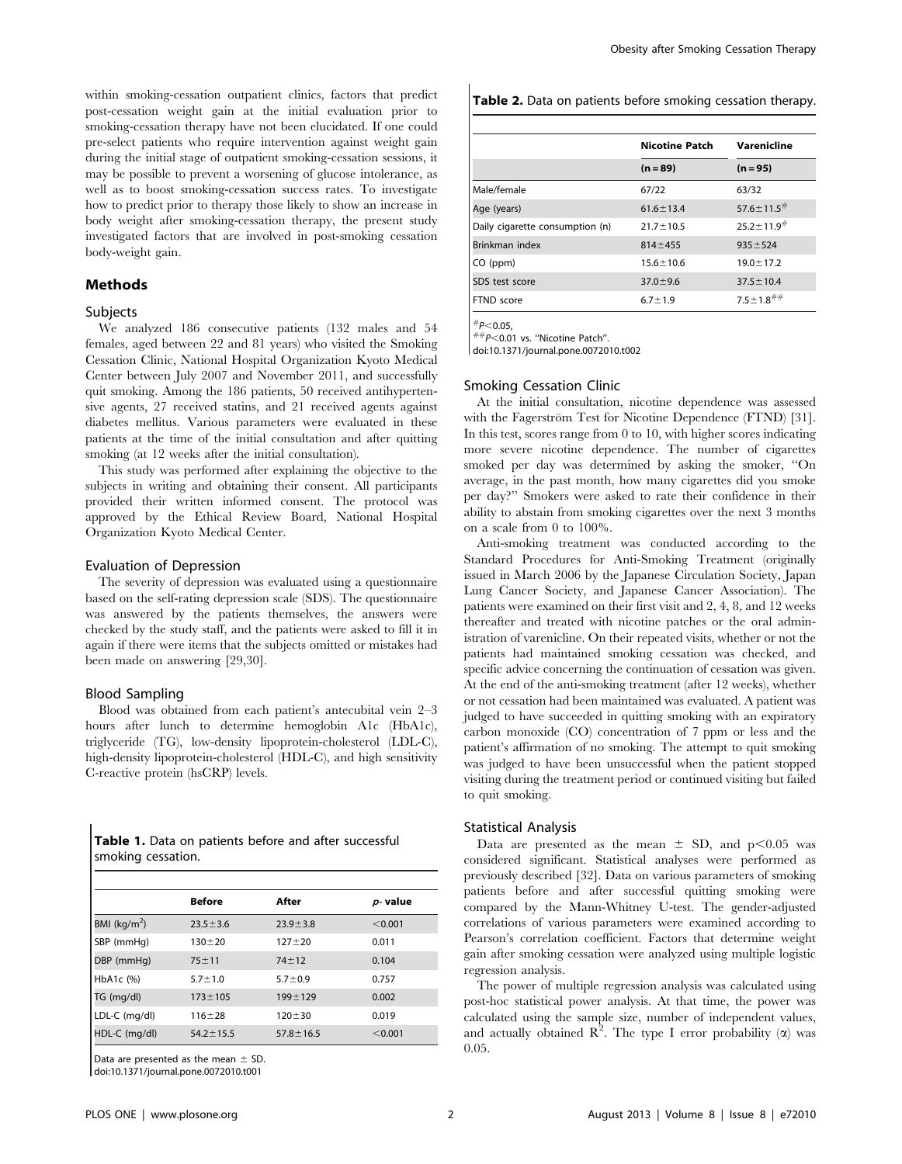within smoking-cessation outpatient clinics, factors that predict post-cessation weight gain at the initial evaluation prior to smoking-cessation therapy have not been elucidated. If one could pre-select patients who require intervention against weight gain during the initial stage of outpatient smoking-cessation sessions, it may be possible to prevent a worsening of glucose intolerance, as well as to boost smoking-cessation success rates. To investigate how to predict prior to therapy those likely to show an increase in body weight after smoking-cessation therapy, the present study investigated factors that are involved in post-smoking cessation body-weight gain.

#### Methods

## Subjects

We analyzed 186 consecutive patients (132 males and 54 females, aged between 22 and 81 years) who visited the Smoking Cessation Clinic, National Hospital Organization Kyoto Medical Center between July 2007 and November 2011, and successfully quit smoking. Among the 186 patients, 50 received antihypertensive agents, 27 received statins, and 21 received agents against diabetes mellitus. Various parameters were evaluated in these patients at the time of the initial consultation and after quitting smoking (at 12 weeks after the initial consultation).

This study was performed after explaining the objective to the subjects in writing and obtaining their consent. All participants provided their written informed consent. The protocol was approved by the Ethical Review Board, National Hospital Organization Kyoto Medical Center.

#### Evaluation of Depression

The severity of depression was evaluated using a questionnaire based on the self-rating depression scale (SDS). The questionnaire was answered by the patients themselves, the answers were checked by the study staff, and the patients were asked to fill it in again if there were items that the subjects omitted or mistakes had been made on answering [29,30].

#### Blood Sampling

Blood was obtained from each patient's antecubital vein 2–3 hours after lunch to determine hemoglobin A1c (HbA1c), triglyceride (TG), low-density lipoprotein-cholesterol (LDL-C), high-density lipoprotein-cholesterol (HDL-C), and high sensitivity C-reactive protein (hsCRP) levels.

| Table 1. Data on patients before and after successful |  |  |
|-------------------------------------------------------|--|--|
| smoking cessation.                                    |  |  |

|                 | <b>Before</b>   | After           | $p$ - value |
|-----------------|-----------------|-----------------|-------------|
| BMI ( $kg/m2$ ) | $23.5 \pm 3.6$  | $23.9 \pm 3.8$  | < 0.001     |
| SBP (mmHg)      | $130 + 20$      | $127 + 20$      | 0.011       |
| DBP (mmHg)      | $75 + 11$       | $74 + 12$       | 0.104       |
| HbA1c (%)       | $5.7 \pm 1.0$   | $5.7 \pm 0.9$   | 0.757       |
| TG (mg/dl)      | $173 + 105$     | $199 + 129$     | 0.002       |
| LDL-C (mg/dl)   | $116 + 28$      | $120 + 30$      | 0.019       |
| HDL-C (mg/dl)   | $54.2 \pm 15.5$ | $57.8 \pm 16.5$ | < 0.001     |

Data are presented as the mean  $\pm$  SD.

doi:10.1371/journal.pone.0072010.t001

#### Table 2. Data on patients before smoking cessation therapy.

|                                 | <b>Nicotine Patch</b> | <b>Varenicline</b>          |
|---------------------------------|-----------------------|-----------------------------|
|                                 | $(n = 89)$            | $(n = 95)$                  |
| Male/female                     | 67/22                 | 63/32                       |
| Age (years)                     | $61.6 \pm 13.4$       | $57.6 \pm 11.5^{\#}$        |
| Daily cigarette consumption (n) | $21.7 \pm 10.5$       | $25.2 \pm 11.9^{\#}$        |
| Brinkman index                  | $814 + 455$           | $935 \pm 524$               |
| CO (ppm)                        | $15.6 \pm 10.6$       | $19.0 \pm 17.2$             |
| SDS test score                  | $37.0 + 9.6$          | $37.5 \pm 10.4$             |
| FTND score                      | $6.7 \pm 1.9$         | $7.5 \pm 1.8$ <sup>##</sup> |

 ${}^{\#}P{<}0.05,$   ${}^{\#}P{<}0.01$  vs. "Nicotine Patch".

doi:10.1371/journal.pone.0072010.t002

## Smoking Cessation Clinic

At the initial consultation, nicotine dependence was assessed with the Fagerström Test for Nicotine Dependence (FTND) [31]. In this test, scores range from 0 to 10, with higher scores indicating more severe nicotine dependence. The number of cigarettes smoked per day was determined by asking the smoker, ''On average, in the past month, how many cigarettes did you smoke per day?'' Smokers were asked to rate their confidence in their ability to abstain from smoking cigarettes over the next 3 months on a scale from 0 to 100%.

Anti-smoking treatment was conducted according to the Standard Procedures for Anti-Smoking Treatment (originally issued in March 2006 by the Japanese Circulation Society, Japan Lung Cancer Society, and Japanese Cancer Association). The patients were examined on their first visit and 2, 4, 8, and 12 weeks thereafter and treated with nicotine patches or the oral administration of varenicline. On their repeated visits, whether or not the patients had maintained smoking cessation was checked, and specific advice concerning the continuation of cessation was given. At the end of the anti-smoking treatment (after 12 weeks), whether or not cessation had been maintained was evaluated. A patient was judged to have succeeded in quitting smoking with an expiratory carbon monoxide (CO) concentration of 7 ppm or less and the patient's affirmation of no smoking. The attempt to quit smoking was judged to have been unsuccessful when the patient stopped visiting during the treatment period or continued visiting but failed to quit smoking.

## Statistical Analysis

Data are presented as the mean  $\pm$  SD, and p $< 0.05$  was considered significant. Statistical analyses were performed as previously described [32]. Data on various parameters of smoking patients before and after successful quitting smoking were compared by the Mann-Whitney U-test. The gender-adjusted correlations of various parameters were examined according to Pearson's correlation coefficient. Factors that determine weight gain after smoking cessation were analyzed using multiple logistic regression analysis.

The power of multiple regression analysis was calculated using post-hoc statistical power analysis. At that time, the power was calculated using the sample size, number of independent values, and actually obtained  $\mathbb{R}^2$ . The type I error probability ( $\alpha$ ) was 0.05.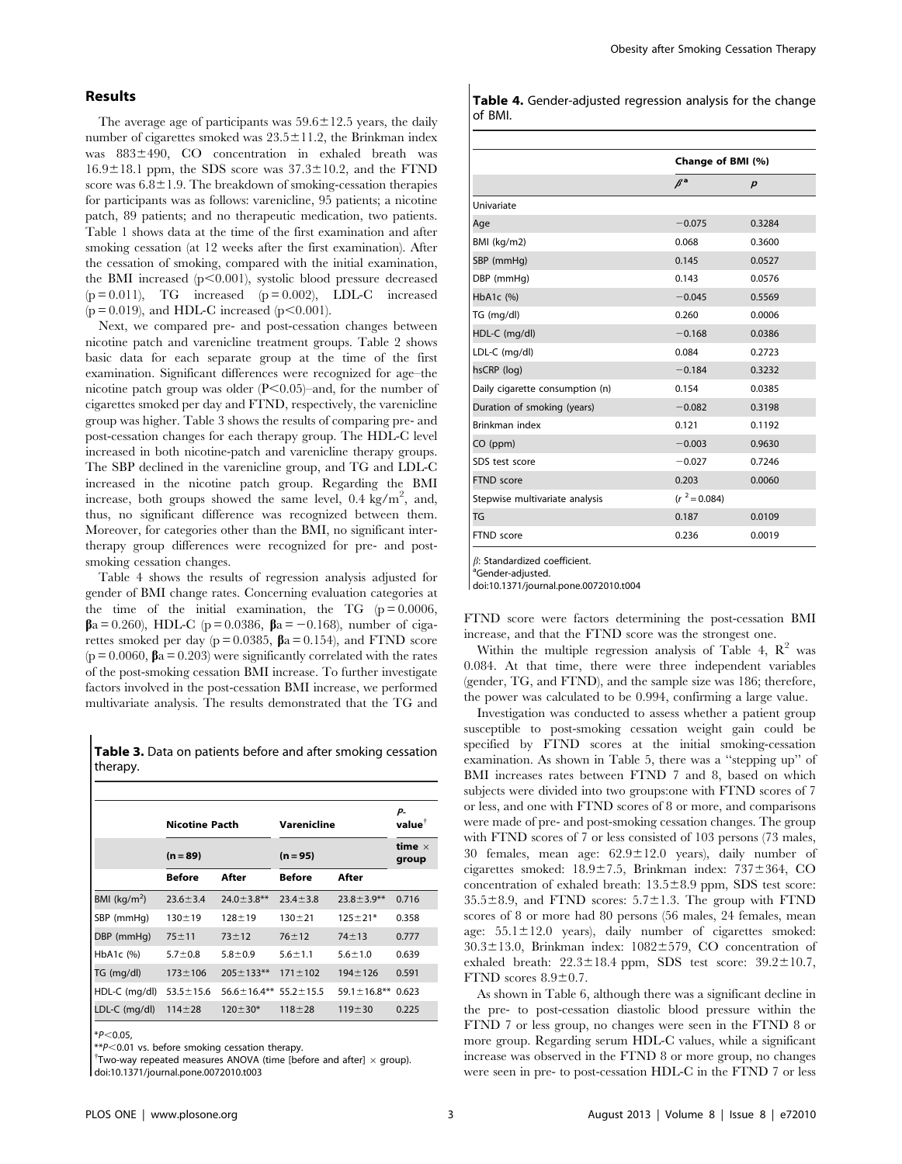## Results

The average age of participants was  $59.6 \pm 12.5$  years, the daily number of cigarettes smoked was  $23.5 \pm 11.2$ , the Brinkman index was  $883±490$ , CO concentration in exhaled breath was  $16.9\pm18.1$  ppm, the SDS score was  $37.3\pm10.2$ , and the FTND score was  $6.8 \pm 1.9$ . The breakdown of smoking-cessation therapies for participants was as follows: varenicline, 95 patients; a nicotine patch, 89 patients; and no therapeutic medication, two patients. Table 1 shows data at the time of the first examination and after smoking cessation (at 12 weeks after the first examination). After the cessation of smoking, compared with the initial examination, the BMI increased  $(p<0.001)$ , systolic blood pressure decreased  $(p = 0.011)$ , TG increased  $(p = 0.002)$ , LDL-C increased  $(p = 0.019)$ , and HDL-C increased  $(p < 0.001)$ .

Next, we compared pre- and post-cessation changes between nicotine patch and varenicline treatment groups. Table 2 shows basic data for each separate group at the time of the first examination. Significant differences were recognized for age–the nicotine patch group was older  $(P<0.05)$ –and, for the number of cigarettes smoked per day and FTND, respectively, the varenicline group was higher. Table 3 shows the results of comparing pre- and post-cessation changes for each therapy group. The HDL-C level increased in both nicotine-patch and varenicline therapy groups. The SBP declined in the varenicline group, and TG and LDL-C increased in the nicotine patch group. Regarding the BMI increase, both groups showed the same level, 0.4 kg/m<sup>2</sup>, and, thus, no significant difference was recognized between them. Moreover, for categories other than the BMI, no significant intertherapy group differences were recognized for pre- and postsmoking cessation changes.

Table 4 shows the results of regression analysis adjusted for gender of BMI change rates. Concerning evaluation categories at the time of the initial examination, the TG  $(p=0.0006,$  $\beta$ a = 0.260), HDL-C (p = 0.0386,  $\beta$ a = -0.168), number of cigarettes smoked per day ( $p = 0.0385$ ,  $\beta a = 0.154$ ), and FTND score  $(p = 0.0060, \beta a = 0.203)$  were significantly correlated with the rates of the post-smoking cessation BMI increase. To further investigate factors involved in the post-cessation BMI increase, we performed multivariate analysis. The results demonstrated that the TG and

Table 3. Data on patients before and after smoking cessation therapy.

|                          | <b>Nicotine Pacth</b> |                   | Varenicline     |                    | Р-<br>value $^\dagger$ |
|--------------------------|-----------------------|-------------------|-----------------|--------------------|------------------------|
|                          | $(n = 89)$            |                   | $(n = 95)$      |                    | time $\times$<br>group |
|                          | Before                | After             | <b>Before</b>   | After              |                        |
| BMI $(kq/m^2)$           | $23.6 \pm 3.4$        | $24.0 \pm 3.8$ ** | $23.4 \pm 3.8$  | $23.8 \pm 3.9$ **  | 0.716                  |
| SBP (mmHg)               | $130 \pm 19$          | $128 + 19$        | $130 + 21$      | $125 \pm 21*$      | 0.358                  |
| DBP (mmHq)               | $75 + 11$             | $73 + 12$         | $76 + 12$       | $74 + 13$          | 0.777                  |
| HbA <sub>1</sub> c $(%)$ | $5.7 \pm 0.8$         | $5.8 + 0.9$       | $5.6 \pm 1.1$   | $5.6 \pm 1.0$      | 0.639                  |
| TG (mg/dl)               | $173 \pm 106$         | $205 \pm 133$ **  | $171 \pm 102$   | $194 + 126$        | 0.591                  |
| HDL-C (mg/dl)            | $53.5 \pm 15.6$       | $56.6 \pm 16.4**$ | $55.2 \pm 15.5$ | $59.1 \pm 16.8$ ** | 0.623                  |
| LDL-C (mg/dl)            | $114 + 28$            | $120 \pm 30*$     | $118 + 28$      | $119 + 30$         | 0.225                  |

 $*P<0.05$ 

 $^{**}\!P\!\!<\!\!0.01$  vs. before smoking cessation therapy.<br> $^\dagger$ Two-way repeated measures ANOVA (time [before and after]  $\times$  group). doi:10.1371/journal.pone.0072010.t003

|         | <b>Table 4.</b> Gender-adjusted regression analysis for the change |  |  |  |
|---------|--------------------------------------------------------------------|--|--|--|
| of BMI. |                                                                    |  |  |  |

|                                 |                 | Change of BMI (%) |  |  |
|---------------------------------|-----------------|-------------------|--|--|
|                                 | $\beta^a$       | р                 |  |  |
| Univariate                      |                 |                   |  |  |
| Age                             | $-0.075$        | 0.3284            |  |  |
| BMI (kg/m2)                     | 0.068           | 0.3600            |  |  |
| SBP (mmHg)                      | 0.145           | 0.0527            |  |  |
| DBP (mmHq)                      | 0.143           | 0.0576            |  |  |
| HbA1c (%)                       | $-0.045$        | 0.5569            |  |  |
| TG (mg/dl)                      | 0.260           | 0.0006            |  |  |
| HDL-C (mg/dl)                   | $-0.168$        | 0.0386            |  |  |
| LDL-C (mg/dl)                   | 0.084           | 0.2723            |  |  |
| hsCRP (log)                     | $-0.184$        | 0.3232            |  |  |
| Daily cigarette consumption (n) | 0.154           | 0.0385            |  |  |
| Duration of smoking (years)     | $-0.082$        | 0.3198            |  |  |
| Brinkman index                  | 0.121           | 0.1192            |  |  |
| CO (ppm)                        | $-0.003$        | 0.9630            |  |  |
| SDS test score                  | $-0.027$        | 0.7246            |  |  |
| FTND score                      | 0.203           | 0.0060            |  |  |
| Stepwise multivariate analysis  | $(r^2 = 0.084)$ |                   |  |  |
| TG                              | 0.187           | 0.0109            |  |  |
| FTND score                      | 0.236           | 0.0019            |  |  |

 $\beta$ : Standardized coefficient.

<sup>a</sup>Gender-adjusted.

doi:10.1371/journal.pone.0072010.t004

FTND score were factors determining the post-cessation BMI increase, and that the FTND score was the strongest one.

Within the multiple regression analysis of Table 4,  $\mathbb{R}^2$  was 0.084. At that time, there were three independent variables (gender, TG, and FTND), and the sample size was 186; therefore, the power was calculated to be 0.994, confirming a large value.

Investigation was conducted to assess whether a patient group susceptible to post-smoking cessation weight gain could be specified by FTND scores at the initial smoking-cessation examination. As shown in Table 5, there was a ''stepping up'' of BMI increases rates between FTND 7 and 8, based on which subjects were divided into two groups:one with FTND scores of 7 or less, and one with FTND scores of 8 or more, and comparisons were made of pre- and post-smoking cessation changes. The group with FTND scores of 7 or less consisted of 103 persons (73 males, 30 females, mean age:  $62.9 \pm 12.0$  years), daily number of cigarettes smoked:  $18.9 \pm 7.5$ , Brinkman index:  $737 \pm 364$ , CO concentration of exhaled breath:  $13.5 \pm 8.9$  ppm, SDS test score:  $35.5\pm8.9$ , and FTND scores:  $5.7\pm1.3$ . The group with FTND scores of 8 or more had 80 persons (56 males, 24 females, mean age:  $55.1 \pm 12.0$  years), daily number of cigarettes smoked:  $30.3\pm13.0$ , Brinkman index:  $1082\pm579$ , CO concentration of exhaled breath:  $22.3 \pm 18.4$  ppm, SDS test score:  $39.2 \pm 10.7$ , FTND scores  $8.9 \pm 0.7$ .

As shown in Table 6, although there was a significant decline in the pre- to post-cessation diastolic blood pressure within the FTND 7 or less group, no changes were seen in the FTND 8 or more group. Regarding serum HDL-C values, while a significant increase was observed in the FTND 8 or more group, no changes were seen in pre- to post-cessation HDL-C in the FTND 7 or less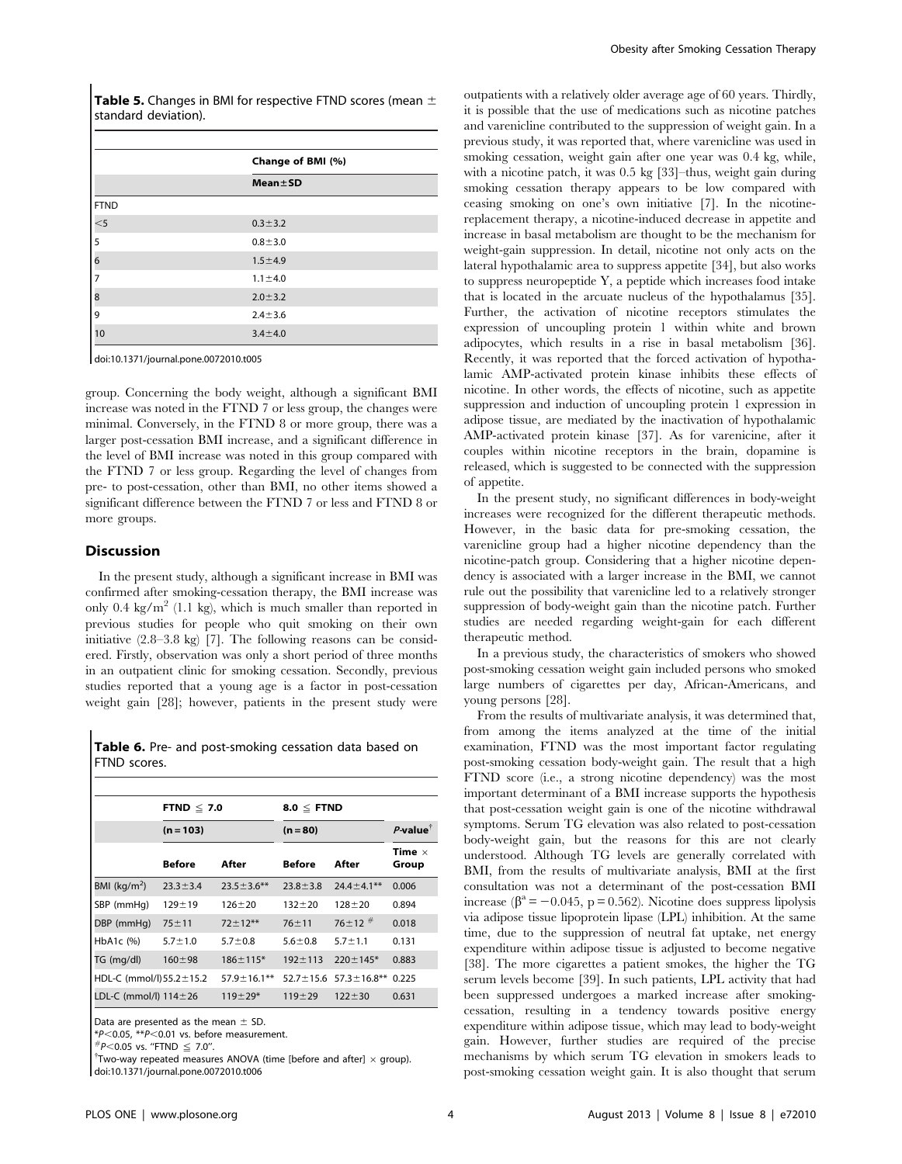**Table 5.** Changes in BMI for respective FTND scores (mean  $\pm$ standard deviation).

|             | Change of BMI (%) |  |
|-------------|-------------------|--|
|             | $Mean \pm SD$     |  |
| <b>FTND</b> |                   |  |
| $<$ 5       | $0.3 \pm 3.2$     |  |
| 5           | $0.8 + 3.0$       |  |
| 6           | $1.5 \pm 4.9$     |  |
| 7           | $1.1 \pm 4.0$     |  |
| 8           | $2.0 \pm 3.2$     |  |
| 9           | $2.4 \pm 3.6$     |  |
| 10          | $3.4 \pm 4.0$     |  |

doi:10.1371/journal.pone.0072010.t005

group. Concerning the body weight, although a significant BMI increase was noted in the FTND 7 or less group, the changes were minimal. Conversely, in the FTND 8 or more group, there was a larger post-cessation BMI increase, and a significant difference in the level of BMI increase was noted in this group compared with the FTND 7 or less group. Regarding the level of changes from pre- to post-cessation, other than BMI, no other items showed a significant difference between the FTND 7 or less and FTND 8 or more groups.

## Discussion

In the present study, although a significant increase in BMI was confirmed after smoking-cessation therapy, the BMI increase was only 0.4 kg/m<sup>2</sup> (1.1 kg), which is much smaller than reported in previous studies for people who quit smoking on their own initiative (2.8–3.8 kg) [7]. The following reasons can be considered. Firstly, observation was only a short period of three months in an outpatient clinic for smoking cessation. Secondly, previous studies reported that a young age is a factor in post-cessation weight gain [28]; however, patients in the present study were

Table 6. Pre- and post-smoking cessation data based on FTND scores.

|                                | FTND $\leq$ 7.0 |                    | $8.0 \leq$ FTND |                    |                         |
|--------------------------------|-----------------|--------------------|-----------------|--------------------|-------------------------|
|                                | $(n = 103)$     |                    | $(n = 80)$      |                    | $P$ -value <sup>†</sup> |
|                                | <b>Before</b>   | After              | Before          | After              | Time $\times$<br>Group  |
| BMI $(kq/m^2)$                 | $23.3 \pm 3.4$  | $23.5 \pm 3.6$ **  | $23.8 \pm 3.8$  | $24.4 \pm 4.1$ **  | 0.006                   |
| SBP (mmHg)                     | $129 + 19$      | $126 + 20$         | $132 + 20$      | $128 + 20$         | 0.894                   |
| DBP (mmHq)                     | $75 + 11$       | $72 \pm 12***$     | $76 + 11$       | $76 \pm 12$ #      | 0.018                   |
| HbA <sub>1</sub> c $(%)$       | $5.7 \pm 1.0$   | $5.7 \pm 0.8$      | $5.6 \pm 0.8$   | $5.7 \pm 1.1$      | 0.131                   |
| TG (mg/dl)                     | $160 + 98$      | $186 \pm 115*$     | $192 + 113$     | $220 \pm 145*$     | 0.883                   |
| HDL-C (mmol/l) $55.2 \pm 15.2$ |                 | $57.9 \pm 16.1***$ | $52.7 \pm 15.6$ | $57.3 \pm 16.8$ ** | 0.225                   |
| LDL-C (mmol/l) $114\pm26$      |                 | $119 + 29*$        | $119 + 29$      | $122 + 30$         | 0.631                   |

Data are presented as the mean  $\pm$  SD.

\*P<0.05, \*\*P<0.01 vs. before measurement.<br>  ${}^{*}P$  <0.05 vs. "FTND  $\leq$  7.0".

 $\dagger$ Two-way repeated measures ANOVA (time [before and after]  $\times$  group). doi:10.1371/journal.pone.0072010.t006

outpatients with a relatively older average age of 60 years. Thirdly, it is possible that the use of medications such as nicotine patches and varenicline contributed to the suppression of weight gain. In a previous study, it was reported that, where varenicline was used in smoking cessation, weight gain after one year was 0.4 kg, while, with a nicotine patch, it was 0.5 kg [33]–thus, weight gain during smoking cessation therapy appears to be low compared with ceasing smoking on one's own initiative [7]. In the nicotinereplacement therapy, a nicotine-induced decrease in appetite and increase in basal metabolism are thought to be the mechanism for weight-gain suppression. In detail, nicotine not only acts on the lateral hypothalamic area to suppress appetite [34], but also works to suppress neuropeptide Y, a peptide which increases food intake that is located in the arcuate nucleus of the hypothalamus [35]. Further, the activation of nicotine receptors stimulates the expression of uncoupling protein 1 within white and brown adipocytes, which results in a rise in basal metabolism [36]. Recently, it was reported that the forced activation of hypothalamic AMP-activated protein kinase inhibits these effects of nicotine. In other words, the effects of nicotine, such as appetite suppression and induction of uncoupling protein 1 expression in adipose tissue, are mediated by the inactivation of hypothalamic AMP-activated protein kinase [37]. As for varenicine, after it couples within nicotine receptors in the brain, dopamine is released, which is suggested to be connected with the suppression of appetite.

In the present study, no significant differences in body-weight increases were recognized for the different therapeutic methods. However, in the basic data for pre-smoking cessation, the varenicline group had a higher nicotine dependency than the nicotine-patch group. Considering that a higher nicotine dependency is associated with a larger increase in the BMI, we cannot rule out the possibility that varenicline led to a relatively stronger suppression of body-weight gain than the nicotine patch. Further studies are needed regarding weight-gain for each different therapeutic method.

In a previous study, the characteristics of smokers who showed post-smoking cessation weight gain included persons who smoked large numbers of cigarettes per day, African-Americans, and young persons [28].

From the results of multivariate analysis, it was determined that, from among the items analyzed at the time of the initial examination, FTND was the most important factor regulating post-smoking cessation body-weight gain. The result that a high FTND score (i.e., a strong nicotine dependency) was the most important determinant of a BMI increase supports the hypothesis that post-cessation weight gain is one of the nicotine withdrawal symptoms. Serum TG elevation was also related to post-cessation body-weight gain, but the reasons for this are not clearly understood. Although TG levels are generally correlated with BMI, from the results of multivariate analysis, BMI at the first consultation was not a determinant of the post-cessation BMI increase ( $\beta^a = -0.045$ , p = 0.562). Nicotine does suppress lipolysis via adipose tissue lipoprotein lipase (LPL) inhibition. At the same time, due to the suppression of neutral fat uptake, net energy expenditure within adipose tissue is adjusted to become negative [38]. The more cigarettes a patient smokes, the higher the TG serum levels become [39]. In such patients, LPL activity that had been suppressed undergoes a marked increase after smokingcessation, resulting in a tendency towards positive energy expenditure within adipose tissue, which may lead to body-weight gain. However, further studies are required of the precise mechanisms by which serum TG elevation in smokers leads to post-smoking cessation weight gain. It is also thought that serum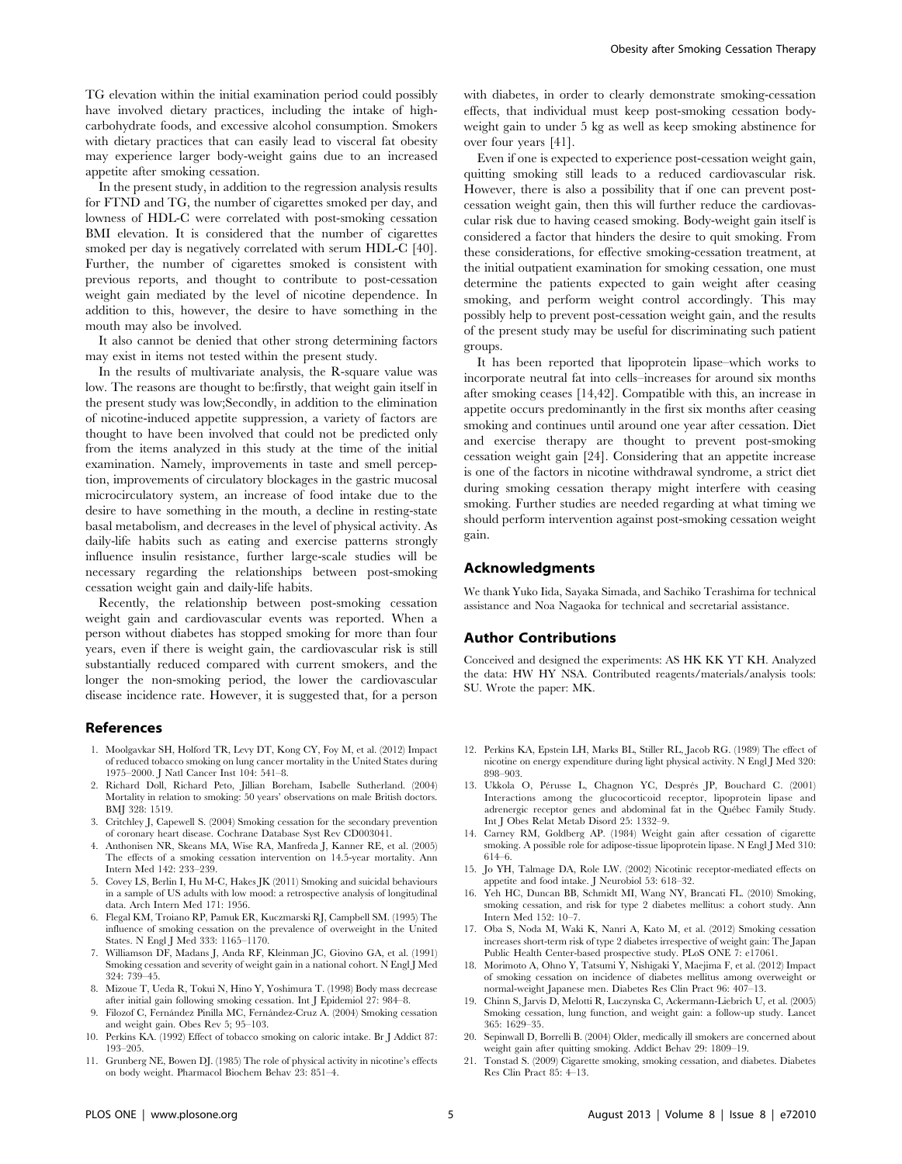TG elevation within the initial examination period could possibly have involved dietary practices, including the intake of highcarbohydrate foods, and excessive alcohol consumption. Smokers with dietary practices that can easily lead to visceral fat obesity may experience larger body-weight gains due to an increased appetite after smoking cessation.

In the present study, in addition to the regression analysis results for FTND and TG, the number of cigarettes smoked per day, and lowness of HDL-C were correlated with post-smoking cessation BMI elevation. It is considered that the number of cigarettes smoked per day is negatively correlated with serum HDL-C [40]. Further, the number of cigarettes smoked is consistent with previous reports, and thought to contribute to post-cessation weight gain mediated by the level of nicotine dependence. In addition to this, however, the desire to have something in the mouth may also be involved.

It also cannot be denied that other strong determining factors may exist in items not tested within the present study.

In the results of multivariate analysis, the R-square value was low. The reasons are thought to be:firstly, that weight gain itself in the present study was low;Secondly, in addition to the elimination of nicotine-induced appetite suppression, a variety of factors are thought to have been involved that could not be predicted only from the items analyzed in this study at the time of the initial examination. Namely, improvements in taste and smell perception, improvements of circulatory blockages in the gastric mucosal microcirculatory system, an increase of food intake due to the desire to have something in the mouth, a decline in resting-state basal metabolism, and decreases in the level of physical activity. As daily-life habits such as eating and exercise patterns strongly influence insulin resistance, further large-scale studies will be necessary regarding the relationships between post-smoking cessation weight gain and daily-life habits.

Recently, the relationship between post-smoking cessation weight gain and cardiovascular events was reported. When a person without diabetes has stopped smoking for more than four years, even if there is weight gain, the cardiovascular risk is still substantially reduced compared with current smokers, and the longer the non-smoking period, the lower the cardiovascular disease incidence rate. However, it is suggested that, for a person

#### References

- 1. Moolgavkar SH, Holford TR, Levy DT, Kong CY, Foy M, et al. (2012) Impact of reduced tobacco smoking on lung cancer mortality in the United States during 1975–2000. J Natl Cancer Inst 104: 541–8.
- 2. Richard Doll, Richard Peto, Jillian Boreham, Isabelle Sutherland. (2004) Mortality in relation to smoking: 50 years' observations on male British doctors. BMJ 328: 1519.
- 3. Critchley J, Capewell S. (2004) Smoking cessation for the secondary prevention of coronary heart disease. Cochrane Database Syst Rev CD003041.
- 4. Anthonisen NR, Skeans MA, Wise RA, Manfreda J, Kanner RE, et al. (2005) The effects of a smoking cessation intervention on 14.5-year mortality. Ann Intern Med 142: 233–239.
- 5. Covey LS, Berlin I, Hu M-C, Hakes JK (2011) Smoking and suicidal behaviours in a sample of US adults with low mood: a retrospective analysis of longitudinal data. Arch Intern Med 171: 1956.
- 6. Flegal KM, Troiano RP, Pamuk ER, Kuczmarski RJ, Campbell SM. (1995) The influence of smoking cessation on the prevalence of overweight in the United States. N Engl J Med 333: 1165–1170.
- 7. Williamson DF, Madans J, Anda RF, Kleinman JC, Giovino GA, et al. (1991) Smoking cessation and severity of weight gain in a national cohort. N Engl J Med 324: 739–45.
- 8. Mizoue T, Ueda R, Tokui N, Hino Y, Yoshimura T. (1998) Body mass decrease after initial gain following smoking cessation. Int J Epidemiol 27: 984–8.
- 9. Filozof C, Fernández Pinilla MC, Fernández-Cruz A. (2004) Smoking cessation and weight gain. Obes Rev 5; 95–103.
- 10. Perkins KA. (1992) Effect of tobacco smoking on caloric intake. Br J Addict 87: 193–205.
- 11. Grunberg NE, Bowen DJ. (1985) The role of physical activity in nicotine's effects on body weight. Pharmacol Biochem Behav 23: 851–4.

with diabetes, in order to clearly demonstrate smoking-cessation effects, that individual must keep post-smoking cessation bodyweight gain to under 5 kg as well as keep smoking abstinence for over four years [41].

Even if one is expected to experience post-cessation weight gain, quitting smoking still leads to a reduced cardiovascular risk. However, there is also a possibility that if one can prevent postcessation weight gain, then this will further reduce the cardiovascular risk due to having ceased smoking. Body-weight gain itself is considered a factor that hinders the desire to quit smoking. From these considerations, for effective smoking-cessation treatment, at the initial outpatient examination for smoking cessation, one must determine the patients expected to gain weight after ceasing smoking, and perform weight control accordingly. This may possibly help to prevent post-cessation weight gain, and the results of the present study may be useful for discriminating such patient groups.

It has been reported that lipoprotein lipase–which works to incorporate neutral fat into cells–increases for around six months after smoking ceases [14,42]. Compatible with this, an increase in appetite occurs predominantly in the first six months after ceasing smoking and continues until around one year after cessation. Diet and exercise therapy are thought to prevent post-smoking cessation weight gain [24]. Considering that an appetite increase is one of the factors in nicotine withdrawal syndrome, a strict diet during smoking cessation therapy might interfere with ceasing smoking. Further studies are needed regarding at what timing we should perform intervention against post-smoking cessation weight gain.

## Acknowledgments

We thank Yuko Iida, Sayaka Simada, and Sachiko Terashima for technical assistance and Noa Nagaoka for technical and secretarial assistance.

#### Author Contributions

Conceived and designed the experiments: AS HK KK YT KH. Analyzed the data: HW HY NSA. Contributed reagents/materials/analysis tools: SU. Wrote the paper: MK.

- 12. Perkins KA, Epstein LH, Marks BL, Stiller RL, Jacob RG. (1989) The effect of nicotine on energy expenditure during light physical activity. N Engl J Med 320: 898–903.
- 13. Ukkola O, Pérusse L, Chagnon YC, Després JP, Bouchard C. (2001) Interactions among the glucocorticoid receptor, lipoprotein lipase and adrenergic receptor genes and abdominal fat in the Québec Family Study. Int J Obes Relat Metab Disord 25: 1332–9.
- 14. Carney RM, Goldberg AP. (1984) Weight gain after cessation of cigarette smoking. A possible role for adipose-tissue lipoprotein lipase. N Engl J Med 310: 614–6.
- 15. Jo YH, Talmage DA, Role LW. (2002) Nicotinic receptor-mediated effects on appetite and food intake. J Neurobiol 53: 618–32.
- 16. Yeh HC, Duncan BB, Schmidt MI, Wang NY, Brancati FL. (2010) Smoking, smoking cessation, and risk for type 2 diabetes mellitus: a cohort study. Ann Intern Med 152: 10–7.
- 17. Oba S, Noda M, Waki K, Nanri A, Kato M, et al. (2012) Smoking cessation increases short-term risk of type 2 diabetes irrespective of weight gain: The Japan Public Health Center-based prospective study. PLoS ONE 7: e17061.
- 18. Morimoto A, Ohno Y, Tatsumi Y, Nishigaki Y, Maejima F, et al. (2012) Impact of smoking cessation on incidence of diabetes mellitus among overweight or normal-weight Japanese men. Diabetes Res Clin Pract 96: 407–13.
- 19. Chinn S, Jarvis D, Melotti R, Luczynska C, Ackermann-Liebrich U, et al. (2005) Smoking cessation, lung function, and weight gain: a follow-up study. Lancet 365: 1629–35.
- 20. Sepinwall D, Borrelli B. (2004) Older, medically ill smokers are concerned about weight gain after quitting smoking. Addict Behav 29: 1809–19.
- 21. Tonstad S. (2009) Cigarette smoking, smoking cessation, and diabetes. Diabetes Res Clin Pract 85: 4–13.